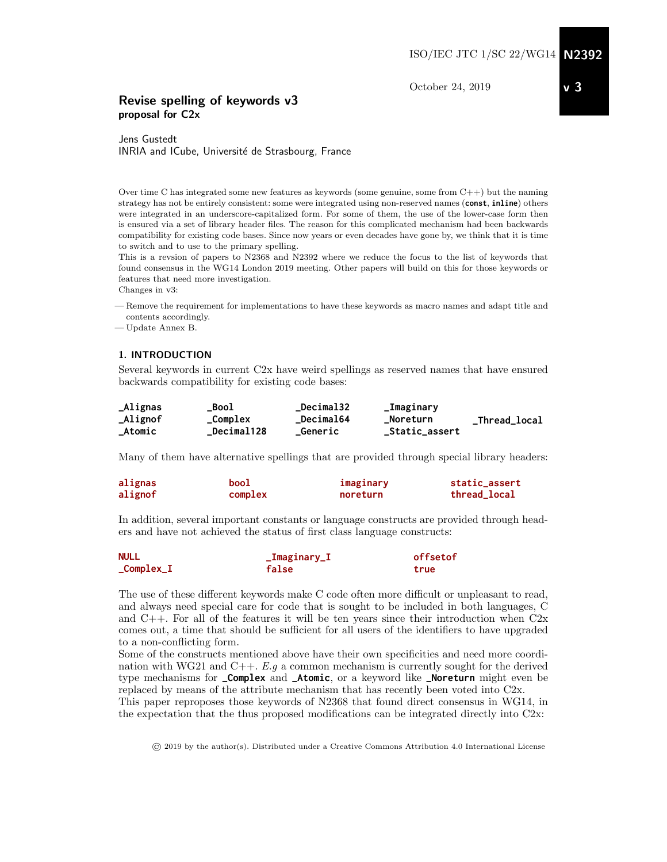October 24, 2019

## Revise spelling of keywords v3 proposal for C2x

Jens Gustedt INRIA and ICube, Université de Strasbourg, France

Over time C has integrated some new features as keywords (some genuine, some from  $C++$ ) but the naming strategy has not be entirely consistent: some were integrated using non-reserved names (**const**, **inline**) others were integrated in an underscore-capitalized form. For some of them, the use of the lower-case form then is ensured via a set of library header files. The reason for this complicated mechanism had been backwards compatibility for existing code bases. Since now years or even decades have gone by, we think that it is time to switch and to use to the primary spelling.

This is a revsion of papers to N2368 and N2392 where we reduce the focus to the list of keywords that found consensus in the WG14 London 2019 meeting. Other papers will build on this for those keywords or features that need more investigation.

Changes in v3:

— Remove the requirement for implementations to have these keywords as macro names and adapt title and contents accordingly.

— Update Annex B.

#### 1. INTRODUCTION

Several keywords in current C2x have weird spellings as reserved names that have ensured backwards compatibility for existing code bases:

| _Alignas | Bool               | <b>Decimal32</b>  | _Imaginary     |               |
|----------|--------------------|-------------------|----------------|---------------|
| _Alignof | $_{\rm \_Complex}$ | <b>_Decimal64</b> | _Noreturn      | _Thread_local |
| _Atomic  | <b>Decimal128</b>  | Generic           | _Static_assert |               |

Many of them have alternative spellings that are provided through special library headers:

| alignas | bool    | imaginary | static_assert |
|---------|---------|-----------|---------------|
| alignof | complex | noreturn  | thread_local  |

In addition, several important constants or language constructs are provided through headers and have not achieved the status of first class language constructs:

| <b>NULL</b>           | _Imaginary_I | offsetof |  |
|-----------------------|--------------|----------|--|
| $_{\rm \_Complex\_I}$ | false        | true     |  |

The use of these different keywords make C code often more difficult or unpleasant to read, and always need special care for code that is sought to be included in both languages, C and  $C_{++}$ . For all of the features it will be ten years since their introduction when  $C_{2x}$ comes out, a time that should be sufficient for all users of the identifiers to have upgraded to a non-conflicting form.

Some of the constructs mentioned above have their own specificities and need more coordination with WG21 and  $C_{++}$ . E.g a common mechanism is currently sought for the derived type mechanisms for **\_Complex** and **\_Atomic**, or a keyword like **\_Noreturn** might even be replaced by means of the attribute mechanism that has recently been voted into C2x.

This paper reproposes those keywords of N2368 that found direct consensus in WG14, in the expectation that the thus proposed modifications can be integrated directly into C2x:

© 2019 by the author(s). Distributed under a Creative Commons Attribution 4.0 International License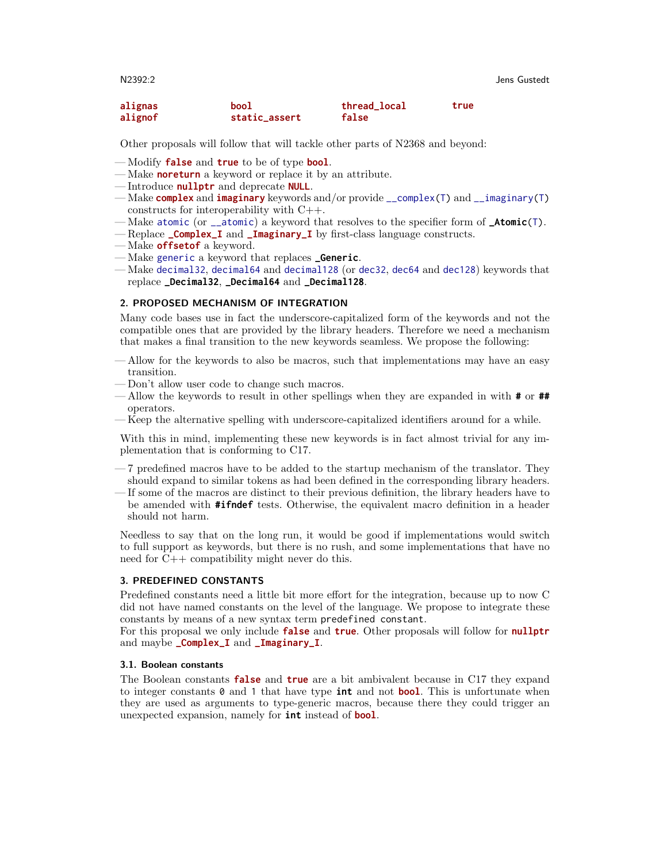| alignas | bool          | thread_local | true |
|---------|---------------|--------------|------|
| alignof | static_assert | false        |      |

Other proposals will follow that will tackle other parts of N2368 and beyond:

- Modify **false** and **true** to be of type **bool**.
- Make **noreturn** a keyword or replace it by an attribute.
- Introduce **nullptr** and deprecate **NULL**.
- Make **complex** and **imaginary** keywords and/or provide \_\_complex(T) and \_\_imaginary(T) constructs for interoperability with C++.
- Make atomic (or \_\_atomic) a keyword that resolves to the specifier form of **\_Atomic**(T).
- Replace **\_Complex\_I** and **\_Imaginary\_I** by first-class language constructs.
- Make **offsetof** a keyword.
- Make generic a keyword that replaces **\_Generic**.
- Make decimal32, decimal64 and decimal128 (or dec32, dec64 and dec128) keywords that replace **\_Decimal32**, **\_Decimal64** and **\_Decimal128**.

#### 2. PROPOSED MECHANISM OF INTEGRATION

Many code bases use in fact the underscore-capitalized form of the keywords and not the compatible ones that are provided by the library headers. Therefore we need a mechanism that makes a final transition to the new keywords seamless. We propose the following:

- Allow for the keywords to also be macros, such that implementations may have an easy transition.
- Don't allow user code to change such macros.
- Allow the keywords to result in other spellings when they are expanded in with **#** or **##** operators.
- Keep the alternative spelling with underscore-capitalized identifiers around for a while.

With this in mind, implementing these new keywords is in fact almost trivial for any implementation that is conforming to C17.

- 7 predefined macros have to be added to the startup mechanism of the translator. They should expand to similar tokens as had been defined in the corresponding library headers.
- If some of the macros are distinct to their previous definition, the library headers have to be amended with **#ifndef** tests. Otherwise, the equivalent macro definition in a header should not harm.

Needless to say that on the long run, it would be good if implementations would switch to full support as keywords, but there is no rush, and some implementations that have no need for C++ compatibility might never do this.

#### 3. PREDEFINED CONSTANTS

Predefined constants need a little bit more effort for the integration, because up to now C did not have named constants on the level of the language. We propose to integrate these constants by means of a new syntax term predefined constant.

For this proposal we only include **false** and **true**. Other proposals will follow for **nullptr** and maybe **\_Complex\_I** and **\_Imaginary\_I**.

#### 3.1. Boolean constants

The Boolean constants **false** and **true** are a bit ambivalent because in C17 they expand to integer constants 0 and 1 that have type **int** and not **bool**. This is unfortunate when they are used as arguments to type-generic macros, because there they could trigger an unexpected expansion, namely for **int** instead of **bool**.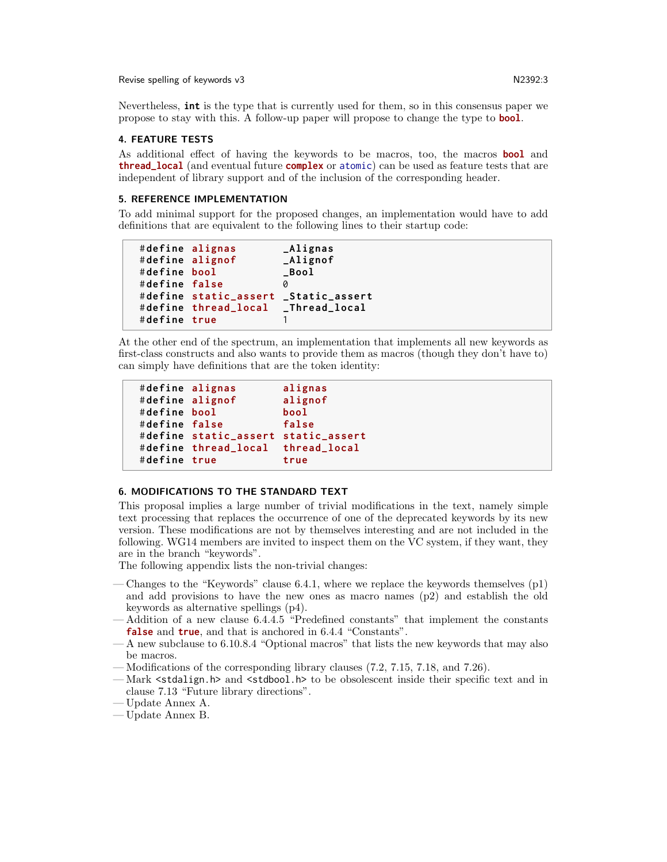Revise spelling of keywords v3 N2392:3

Nevertheless, **int** is the type that is currently used for them, so in this consensus paper we propose to stay with this. A follow-up paper will propose to change the type to **bool**.

#### 4. FEATURE TESTS

As additional effect of having the keywords to be macros, too, the macros **bool** and **thread\_local** (and eventual future **complex** or atomic) can be used as feature tests that are independent of library support and of the inclusion of the corresponding header.

#### 5. REFERENCE IMPLEMENTATION

To add minimal support for the proposed changes, an implementation would have to add definitions that are equivalent to the following lines to their startup code:

```
# define alignas _Alignas
# define alignof _Alignof
# define bool _Bool
# define false 0
# define static_assert _Static_assert
# define thread_local _Thread_local
# define true 1
```
At the other end of the spectrum, an implementation that implements all new keywords as first-class constructs and also wants to provide them as macros (though they don't have to) can simply have definitions that are the token identity:

```
# define alignas alignas
# define alignof alignof
# define bool bool
# define false false
# define static_assert static_assert
# define thread_local thread_local
# define true true
```
#### 6. MODIFICATIONS TO THE STANDARD TEXT

This proposal implies a large number of trivial modifications in the text, namely simple text processing that replaces the occurrence of one of the deprecated keywords by its new version. These modifications are not by themselves interesting and are not included in the following. WG14 members are invited to inspect them on the VC system, if they want, they are in the branch "keywords".

The following appendix lists the non-trivial changes:

- Changes to the "Keywords" clause 6.4.1, where we replace the keywords themselves  $(p1)$ and add provisions to have the new ones as macro names (p2) and establish the old keywords as alternative spellings (p4).
- Addition of a new clause 6.4.4.5 "Predefined constants" that implement the constants **false** and **true**, and that is anchored in 6.4.4 "Constants".
- A new subclause to 6.10.8.4 "Optional macros" that lists the new keywords that may also be macros.
- Modifications of the corresponding library clauses (7.2, 7.15, 7.18, and 7.26).
- Mark <stdalign.h> and <stdbool.h> to be obsolescent inside their specific text and in clause 7.13 "Future library directions".
- Update Annex A.
- Update Annex B.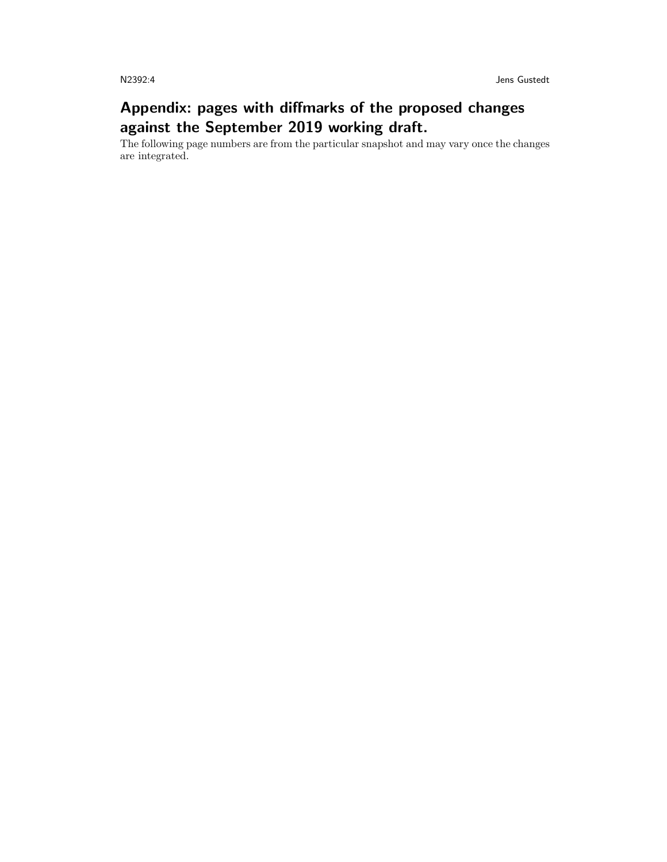# Appendix: pages with diffmarks of the proposed changes against the September 2019 working draft.

The following page numbers are from the particular snapshot and may vary once the changes are integrated.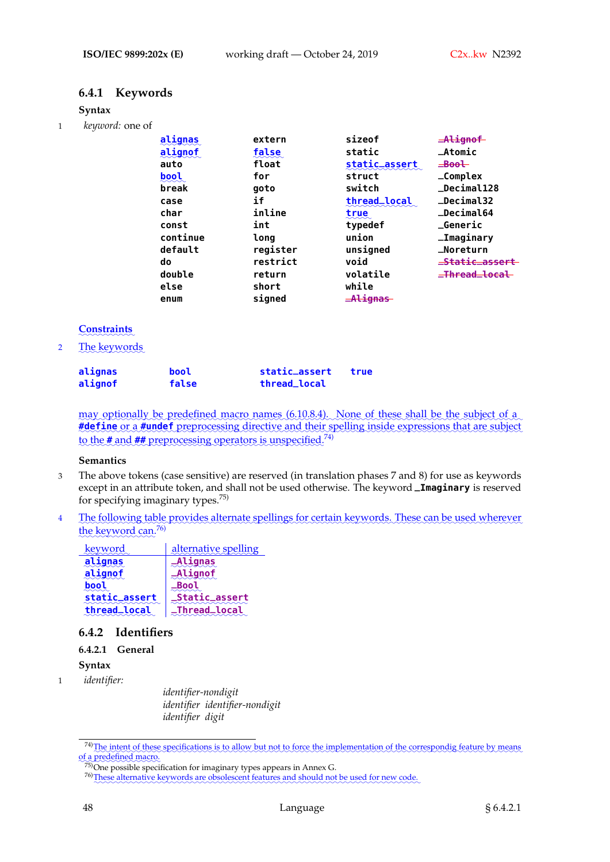# **6.4.1 Keywords**

#### **Syntax**

1 *keyword:* one of

| alignas  | extern   | sizeof        | $A$ lignof     |
|----------|----------|---------------|----------------|
| alignof  | false    | static        | $\_Atomic$     |
| auto     | float    | static_assert | $\equiv$ Bool  |
| bool     | for      | struct        | $\_Complex$    |
| break    | goto     | switch        | _Decimal128    |
| case     | if       | thread_local  | $\_Decima132$  |
| char     | inline   | true          | _Decimal64     |
| const    | int      | typedef       | $\_Generator$  |
| continue | long     | union         | _Imaginary     |
| default  | register | unsigned      | _Noreturn      |
| do       | restrict | void          | _Static_assert |
| double   | return   | volatile      | _Thread_local  |
| else     | short    | while         |                |
| enum     | signed   | -Alignas      |                |

## ✿✿✿✿✿✿✿✿✿✿✿ **Constraints**

2 The keywords

| alignas | bool  | static_assert | true |
|---------|-------|---------------|------|
| alignof | false | thread_local  |      |

may optionally be predefined macro names (6.10.8.4). None of these shall be the subject of a #define or a #undef preprocessing directive and their spelling inside expressions that are subject to the **#** and **##** preprocessing operators is unspecified.<sup>74)</sup>

#### **Semantics**

- 3 The above tokens (case sensitive) are reserved (in translation phases 7 and 8) for use as keywords except in an attribute token, and shall not be used otherwise. The keyword **\_Imaginary** is reserved for specifying imaginary types.75)
- 4 The following table provides alternate spellings for certain keywords. These can be used wherever the keyword can.<sup>76)</sup>

| <u>keyword</u> | alternative spelling  |
|----------------|-----------------------|
| alignas        | <b>_Alignas</b>       |
| alignof        | _Alignof              |
|                |                       |
| static_assert  | <b>_Static_assert</b> |
| thread_local   | <b>_Thread_local</b>  |

# **6.4.2 Identifiers**

#### **6.4.2.1 General**

**Syntax**

1 *identifier:*

*identifier-nondigit identifier identifier-nondigit identifier digit*

<sup>74)</sup> The intent of these specifications is to allow but not to force the implementation of the correspondig feature by means ✿✿✿ of a predefined macro.

 $75$ )One possible specification for imaginary types appears in Annex G.

<sup>76)</sup> These alternative keywords are obsolescent features and should not be used for new code.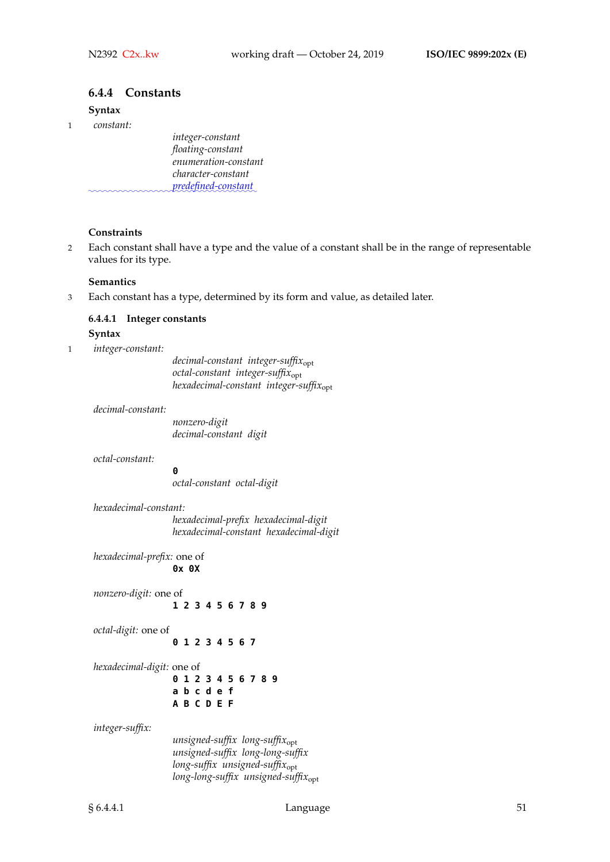#### **6.4.4 Constants**

#### **Syntax**

1 *constant:*

*integer-constant floating-constant enumeration-constant character-constant* ✿✿✿✿✿✿✿✿✿✿✿✿✿✿✿✿✿✿✿✿✿✿✿✿✿✿✿✿✿✿✿✿ *predefined-constant*✿

#### **Constraints**

2 Each constant shall have a type and the value of a constant shall be in the range of representable values for its type.

#### **Semantics**

3 Each constant has a type, determined by its form and value, as detailed later.

#### **6.4.4.1 Integer constants**

#### **Syntax**

1 *integer-constant:*

*decimal-constant integer-suffix*opt *octal-constant integer-suffix*opt *hexadecimal-constant integer-suffix*opt

#### *decimal-constant:*

*nonzero-digit decimal-constant digit*

*octal-constant:*

**0**

*octal-constant octal-digit*

*hexadecimal-constant: hexadecimal-prefix hexadecimal-digit hexadecimal-constant hexadecimal-digit*

*hexadecimal-prefix:* one of **0x 0X**

*nonzero-digit:* one of **1 2 3 4 5 6 7 8 9** *octal-digit:* one of **0 1 2 3 4 5 6 7** *hexadecimal-digit:* one of **0 1 2 3 4 5 6 7 8 9 a b c d e f A B C D E F**

*integer-suffix:*

*unsigned-suffix long-suffix*opt *unsigned-suffix long-long-suffix long-suffix unsigned-suffix*opt *long-long-suffix unsigned-suffix*opt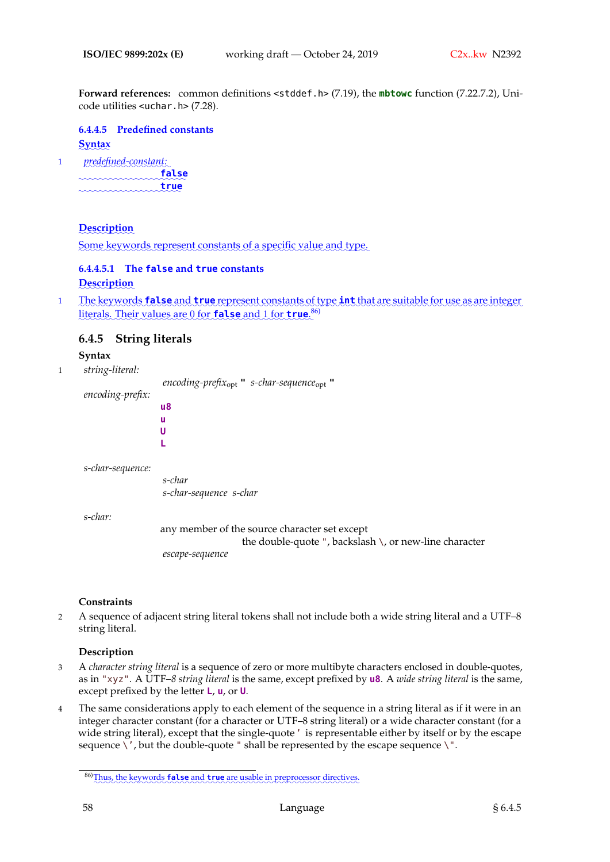**Forward references:** common definitions <stddef.h> (7.19), the **mbtowc** function (7.22.7.2), Unicode utilities <uchar.h> (7.28).

**6.4.4.5 Predefined constants** ✿✿✿✿✿✿ **Syntax**

1 ✿✿✿✿✿✿✿✿✿✿✿✿✿✿✿✿ *predefined-constant:*✿ ✿✿✿✿✿✿✿✿✿✿✿✿✿✿✿✿✿✿✿✿✿ **false** ✿✿✿✿✿✿✿✿✿✿✿✿✿✿✿✿✿✿✿✿ **true**

## ✿✿✿✿✿✿✿✿✿✿✿ **Description**

Some keywords represent constants of a specific value and type.

# **6.4.4.5.1 The false and true constants**

**Description** 

1 De keywords **false** and **true** represent constants of type **int** that are suitable for use as are integer literals. Their values are 0 for **false** and 1 for **true**.<sup>86)</sup>

## **6.4.5 String literals**

#### **Syntax**

1 *string-literal:*

*encoding-prefix*opt **"** *s-char-sequence*opt **"** *encoding-prefix:* **u8 u U L**

*s-char-sequence:*

*s-char s-char-sequence s-char*

*s-char:*

any member of the source character set except the double-quote ", backslash \, or new-line character *escape-sequence*

#### **Constraints**

2 A sequence of adjacent string literal tokens shall not include both a wide string literal and a UTF–8 string literal.

#### **Description**

- 3 A *character string literal* is a sequence of zero or more multibyte characters enclosed in double-quotes, as in "xyz". A UTF*–8 string literal* is the same, except prefixed by **u8**. A *wide string literal* is the same, except prefixed by the letter **L**, **u**, or **U**.
- 4 The same considerations apply to each element of the sequence in a string literal as if it were in an integer character constant (for a character or UTF–8 string literal) or a wide character constant (for a wide string literal), except that the single-quote' is representable either by itself or by the escape sequence  $\backslash'$ , but the double-quote " shall be represented by the escape sequence  $\backslash$ ".

<sup>86)</sup> Thus, the keywords **false** and **true** are usable in preprocessor directives.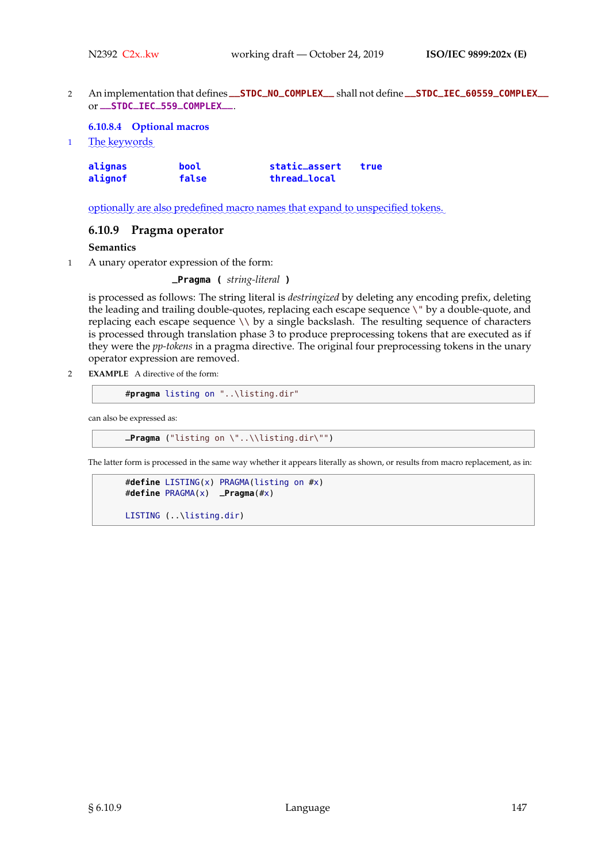<sup>2</sup> An implementation that defines **\_\_STDC\_NO\_COMPLEX\_\_** shall not define **\_\_STDC\_IEC\_60559\_COMPLEX\_\_** or **\_\_STDC\_IEC\_559\_COMPLEX\_\_**.

#### **6.10.8.4 Optional macros**

1 The keywords

| alignas | bool  | static_assert | true |
|---------|-------|---------------|------|
| alignof | false | thread_local  |      |

optionally are also predefined macro names that expand to unspecified tokens.

## **6.10.9 Pragma operator**

#### **Semantics**

1 A unary operator expression of the form:

**\_Pragma (** *string-literal* **)**

is processed as follows: The string literal is *destringized* by deleting any encoding prefix, deleting the leading and trailing double-quotes, replacing each escape sequence \" by a double-quote, and replacing each escape sequence \\ by a single backslash. The resulting sequence of characters is processed through translation phase 3 to produce preprocessing tokens that are executed as if they were the *pp-tokens* in a pragma directive. The original four preprocessing tokens in the unary operator expression are removed.

2 **EXAMPLE** A directive of the form:

```
#pragma listing on "..\listing.dir"
```
can also be expressed as:

**\_Pragma** ("listing on \"..\\listing.dir\"")

The latter form is processed in the same way whether it appears literally as shown, or results from macro replacement, as in:

```
#define LISTING(x) PRAGMA(listing on #x)
#define PRAGMA(x) _Pragma(#x)
```

```
LISTING (..\listing.dir)
```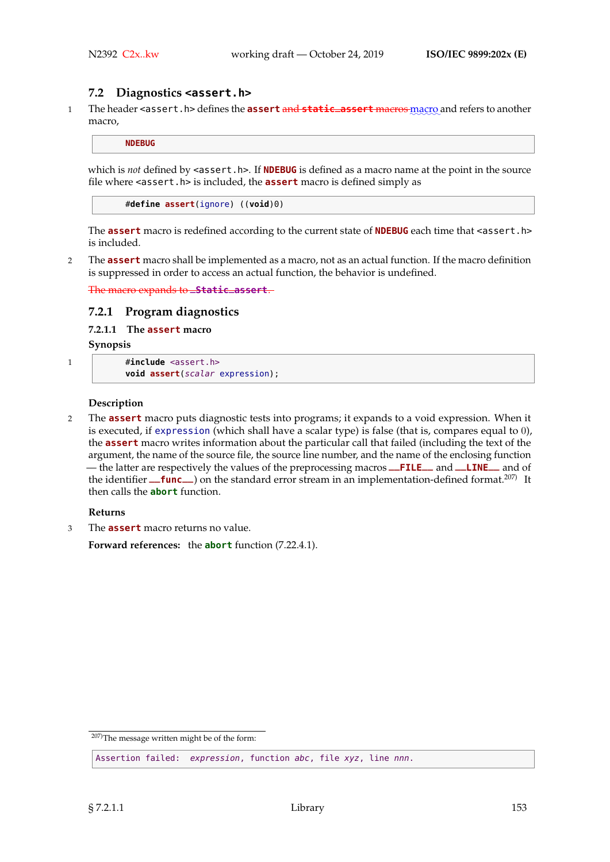## **7.2 Diagnostics <assert.h>**

1 The header <assert.h> defines the **assert** and **static\_assert** macros macro and refers to another macro,

**NDEBUG**

which is *not* defined by <assert.h>. If **NDEBUG** is defined as a macro name at the point in the source file where <assert.h> is included, the **assert** macro is defined simply as

#**define assert**(ignore) ((**void**)0)

The **assert** macro is redefined according to the current state of **NDEBUG** each time that <assert.h> is included.

2 The **assert** macro shall be implemented as a macro, not as an actual function. If the macro definition is suppressed in order to access an actual function, the behavior is undefined.

The macro expands to **\_Static\_assert**.

## **7.2.1 Program diagnostics**

**7.2.1.1 The assert macro**

**Synopsis**

```
1 #include <assert.h>
```
**void assert**(scalar expression);

#### **Description**

2 The **assert** macro puts diagnostic tests into programs; it expands to a void expression. When it is executed, if expression (which shall have a scalar type) is false (that is, compares equal to 0), the **assert** macro writes information about the particular call that failed (including the text of the argument, the name of the source file, the source line number, and the name of the enclosing function — the latter are respectively the values of the preprocessing macros **\_\_FILE\_\_** and **\_\_LINE\_\_** and of the identifier **\_\_func** ) on the standard error stream in an implementation-defined format.<sup>207)</sup> It then calls the **abort** function.

#### **Returns**

3 The **assert** macro returns no value.

**Forward references:** the **abort** function (7.22.4.1).

<sup>207)</sup>The message written might be of the form:

Assertion failed: expression, function abc, file xyz, line nnn.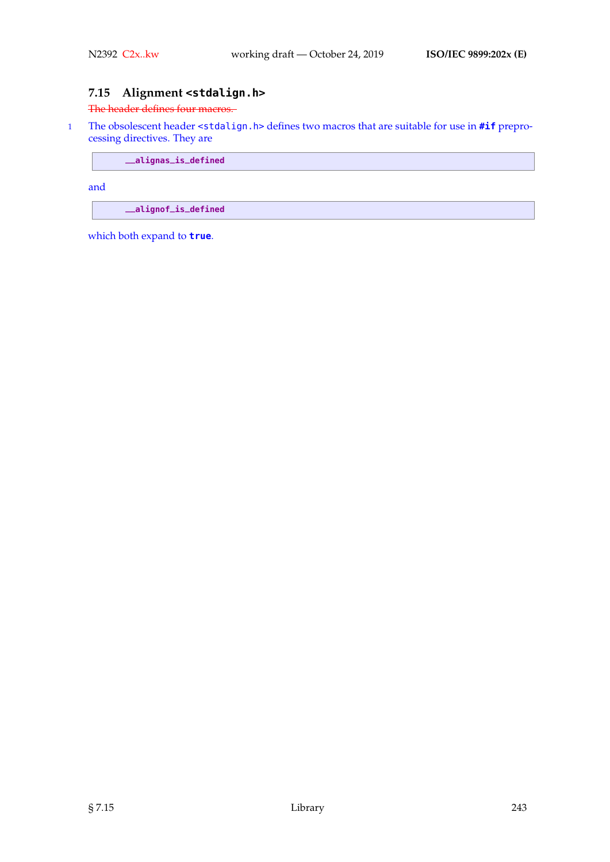# **7.15 Alignment <stdalign.h>**

#### The header defines four macros.

1 The obsolescent header <stdalign.h> defines two macros that are suitable for use in **#if** preprocessing directives. They are

**\_\_alignas\_is\_defined**

and

**\_\_alignof\_is\_defined**

which both expand to **true**.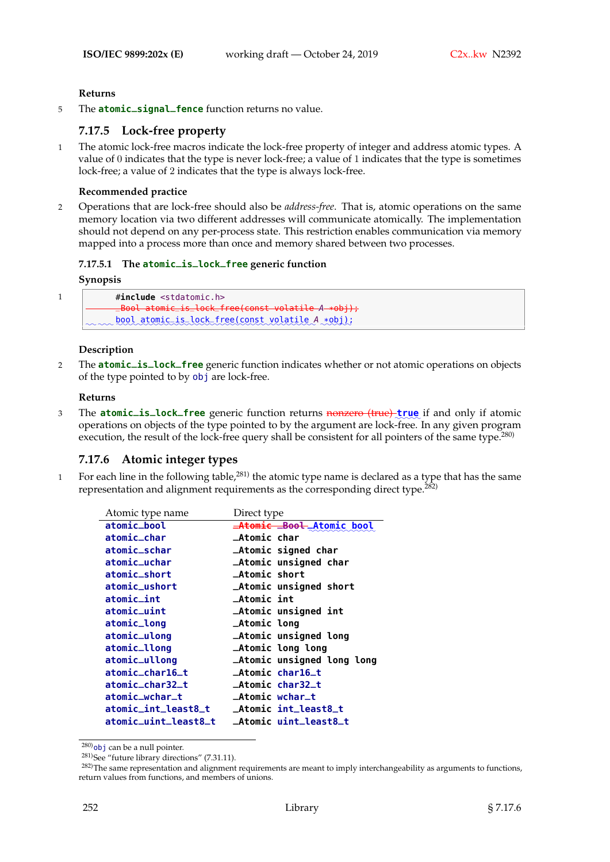#### **Returns**

<sup>5</sup> The **atomic\_signal\_fence** function returns no value.

## **7.17.5 Lock-free property**

1 The atomic lock-free macros indicate the lock-free property of integer and address atomic types. A value of 0 indicates that the type is never lock-free; a value of 1 indicates that the type is sometimes lock-free; a value of 2 indicates that the type is always lock-free.

#### **Recommended practice**

2 Operations that are lock-free should also be *address-free*. That is, atomic operations on the same memory location via two different addresses will communicate atomically. The implementation should not depend on any per-process state. This restriction enables communication via memory mapped into a process more than once and memory shared between two processes.

## **7.17.5.1 The atomic\_is\_lock\_free generic function**

#### **Synopsis**

```
1 #include <stdatomic.h>
           _Bool atomic_is_lock_free(const volatile A *obj);
     www.bool.atomic_is_lock_free(const_volatile A_*obj);
```
#### **Description**

<sup>2</sup> The **atomic\_is\_lock\_free** generic function indicates whether or not atomic operations on objects of the type pointed to by obj are lock-free.

#### **Returns**

3 The **atomic\_is\_lock\_free** generic function returns nonzero (true) true if and only if atomic operations on objects of the type pointed to by the argument are lock-free. In any given program execution, the result of the lock-free query shall be consistent for all pointers of the same type.<sup>280)</sup>

# **7.17.6 Atomic integer types**

1 For each line in the following table, $^{281}$  the atomic type name is declared as a type that has the same representation and alignment requirements as the corresponding direct type.<sup>282)</sup>

| Atomic type name     | Direct type                  |
|----------------------|------------------------------|
| atomic_bool          | Atomic Bool Atomic bool      |
| atomic_char          | <b>_Atomic char</b>          |
| atomic_schar         | _Atomic signed char          |
| atomic_uchar         | _Atomic unsigned char        |
| atomic_short         | _Atomic short                |
| atomic_ushort        | _Atomic unsigned short       |
| atomic_int           | <b>_Atomic int</b>           |
| atomic_uint          | _Atomic unsigned int         |
| atomic_long          | _Atomic long                 |
| atomic_ulong         | _Atomic unsigned long        |
| atomic_llong         | _Atomic long long            |
| atomic_ullong        | _Atomic unsigned long long   |
| atomic_char16_t      | <b>_Atomic char16_t</b>      |
| atomic_char32_t      | _Atomic char32_t             |
| atomic_wchar_t       | _Atomic wchar_t              |
| atomic_int_least8_t  | _Atomic int_least8_t         |
| atomic_uint_least8_t | <b>_Atomic uint_least8_t</b> |

 $280$ ) obj can be a null pointer.

<sup>281)</sup>See "future library directions" (7.31.11).

<sup>&</sup>lt;sup>282)</sup>The same representation and alignment requirements are meant to imply interchangeability as arguments to functions, return values from functions, and members of unions.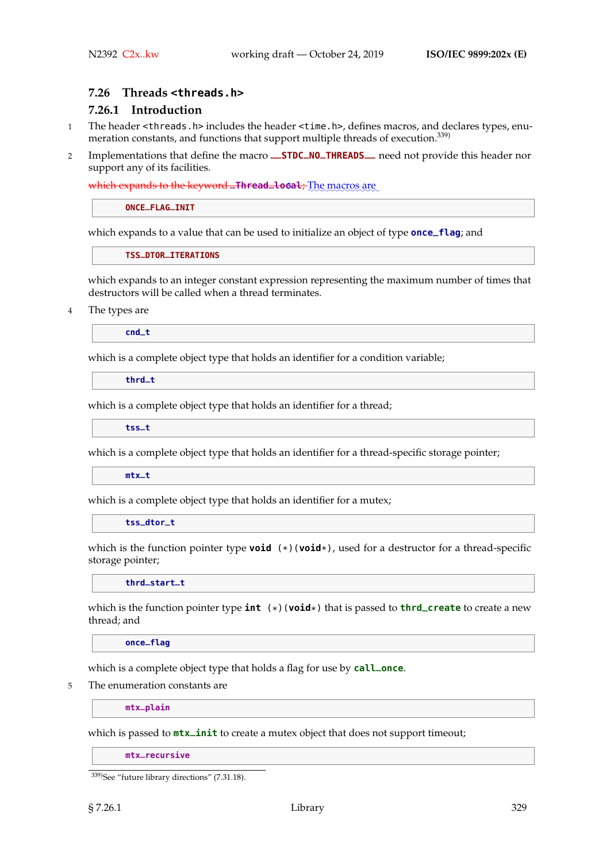#### **7.26 Threads <threads.h>**

# **7.26.1 Introduction**

- 1 The header <threads.h> includes the header <time.h>, defines macros, and declares types, enumeration constants, and functions that support multiple threads of execution.<sup>339)</sup>
- <sup>2</sup> Implementations that define the macro **\_\_STDC\_NO\_THREADS\_\_** need not provide this header nor support any of its facilities.

which expands to the keyword **\_Thread\_local**; The macros are

**ONCE\_FLAG\_INIT**

which expands to a value that can be used to initialize an object of type **once\_flag**; and

**TSS\_DTOR\_ITERATIONS**

which expands to an integer constant expression representing the maximum number of times that destructors will be called when a thread terminates.

4 The types are

**cnd\_t**

which is a complete object type that holds an identifier for a condition variable;

**thrd\_t**

which is a complete object type that holds an identifier for a thread;

**tss\_t**

which is a complete object type that holds an identifier for a thread-specific storage pointer;

**mtx\_t**

which is a complete object type that holds an identifier for a mutex;

**tss\_dtor\_t**

which is the function pointer type **void** (\*)(**void**\*), used for a destructor for a thread-specific storage pointer;

**thrd\_start\_t**

which is the function pointer type **int** (\*)(**void**\*) that is passed to **thrd\_create** to create a new thread; and

**once\_flag**

which is a complete object type that holds a flag for use by **call\_once**.

5 The enumeration constants are

**mtx\_plain**

which is passed to **mtx\_init** to create a mutex object that does not support timeout;

**mtx\_recursive**

<sup>339)</sup>See "future library directions" (7.31.18).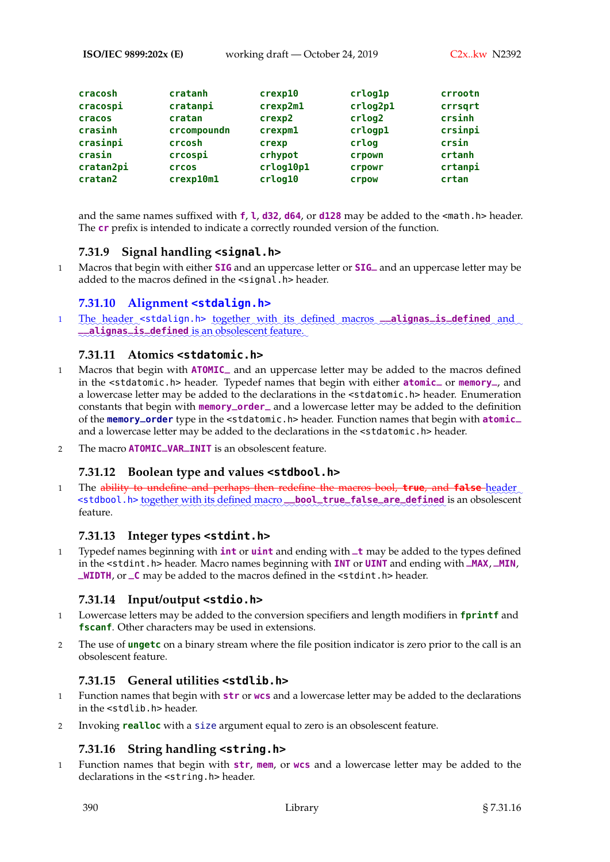**ISO/IEC 9899:202x (E)** working draft — October 24, 2019 C2x..kw N2392

| cracosh   | cratanh     | crexp10   | crlog1p  | crrootn |
|-----------|-------------|-----------|----------|---------|
| cracospi  | cratanpi    | crexp2m1  | crlog2p1 | crrsqrt |
| cracos    | cratan      | crexp2    | crlog2   | crsinh  |
| crasinh   | crcompoundn | crexpm1   | crlogp1  | crsinpi |
| crasinpi  | crcosh      | crexp     | crlog    | crsin   |
| crasin    | crcospi     | crhypot   | crpown   | crtanh  |
| cratan2pi | crcos       | crlog10p1 | crpowr   | crtanpi |
| cratan2   | crexp10m1   | crlog10   | crpow    | crtan   |

and the same names suffixed with **f**, **l**, **d32**, **d64**, or **d128** may be added to the <math.h> header. The **cr** prefix is intended to indicate a correctly rounded version of the function.

# **7.31.9 Signal handling <signal.h>**

<sup>1</sup> Macros that begin with either **SIG** and an uppercase letter or **SIG\_** and an uppercase letter may be added to the macros defined in the <signal.h> header.

# **7.31.10 Alignment <stdalign.h>**

1 The header <stdalign.h> together with its defined macros **\_\_alignas\_is\_defined** and **\_\_alignas\_is\_defined** is an obsolescent feature.

# **7.31.11 Atomics <stdatomic.h>**

- <sup>1</sup> Macros that begin with **ATOMIC\_** and an uppercase letter may be added to the macros defined in the <stdatomic.h> header. Typedef names that begin with either **atomic\_** or **memory\_**, and a lowercase letter may be added to the declarations in the <stdatomic.h> header. Enumeration constants that begin with **memory\_order\_** and a lowercase letter may be added to the definition of the **memory\_order** type in the <stdatomic.h> header. Function names that begin with **atomic\_** and a lowercase letter may be added to the declarations in the <stdatomic.h> header.
- <sup>2</sup> The macro **ATOMIC\_VAR\_INIT** is an obsolescent feature.

# **7.31.12 Boolean type and values <stdbool.h>**

1 The a<del>bility to undefine and perhaps then redefine the macros bool, **true**, and **false** header</del> <stdbool.h> together with its defined macro\_bool\_true\_false\_are\_defined is an obsolescent feature.

# **7.31.13 Integer types <stdint.h>**

<sup>1</sup> Typedef names beginning with **int** or **uint** and ending with **\_t** may be added to the types defined in the <stdint.h> header. Macro names beginning with **INT** or **UINT** and ending with **\_MAX**, **\_MIN**, **\_WIDTH**, or **\_C** may be added to the macros defined in the <stdint.h> header.

# **7.31.14 Input/output <stdio.h>**

- 1 Lowercase letters may be added to the conversion specifiers and length modifiers in **fprintf** and **fscanf**. Other characters may be used in extensions.
- 2 The use of **ungetc** on a binary stream where the file position indicator is zero prior to the call is an obsolescent feature.

## **7.31.15 General utilities <stdlib.h>**

- 1 Function names that begin with **str** or **wcs** and a lowercase letter may be added to the declarations in the <stdlib.h> header.
- 2 Invoking **realloc** with a size argument equal to zero is an obsolescent feature.

# **7.31.16 String handling <string.h>**

1 Function names that begin with **str**, **mem**, or **wcs** and a lowercase letter may be added to the declarations in the <string.h> header.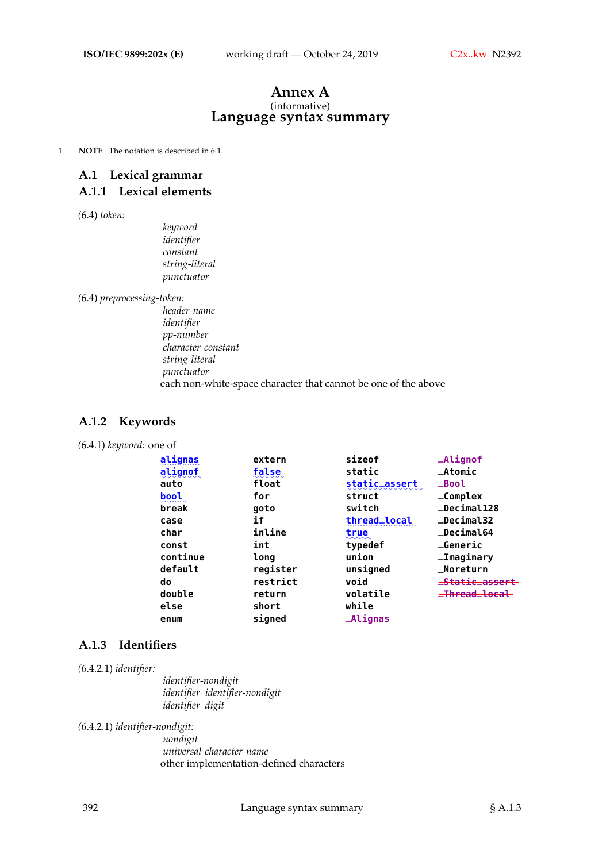#### **Annex A** (informative) **Language syntax summary**

1 **NOTE** The notation is described in 6.1.

# **A.1 Lexical grammar**

## **A.1.1 Lexical elements**

*(*6.4) *token:*

*keyword identifier constant string-literal punctuator*

*(*6.4) *preprocessing-token:*

*header-name identifier pp-number character-constant string-literal punctuator* each non-white-space character that cannot be one of the above

## **A.1.2 Keywords**

|  | (6.4.1) keyword: one of |  |  |
|--|-------------------------|--|--|
|--|-------------------------|--|--|

| alignas  | extern   | sizeof        | $=$ Alignof        |
|----------|----------|---------------|--------------------|
| alignof  | false    | static        | $\_Atomic$         |
| auto     | float    | static_assert | $\equiv$ Bool      |
| bool     | for      | struct        | $\_Complex$        |
| break    | goto     | switch        | <b>_Decimal128</b> |
| case     | if       | thread_local  | $\_Decima132$      |
| char     | inline   | true          | _Decimal64         |
| const    | int      | typedef       | <b>_Generic</b>    |
| continue | long     | union         | <b>_Imaginary</b>  |
| default  | register | unsigned      | _Noreturn          |
| do       | restrict | void          | _Static_assert     |
| double   | return   | volatile      | _Thread_local      |
| else     | short    | while         |                    |
| enum     | signed   | _Alignas      |                    |

#### **A.1.3 Identifiers**

*(*6.4.2.1) *identifier:*

*identifier-nondigit identifier identifier-nondigit identifier digit*

*(*6.4.2.1) *identifier-nondigit:*

*nondigit universal-character-name* other implementation-defined characters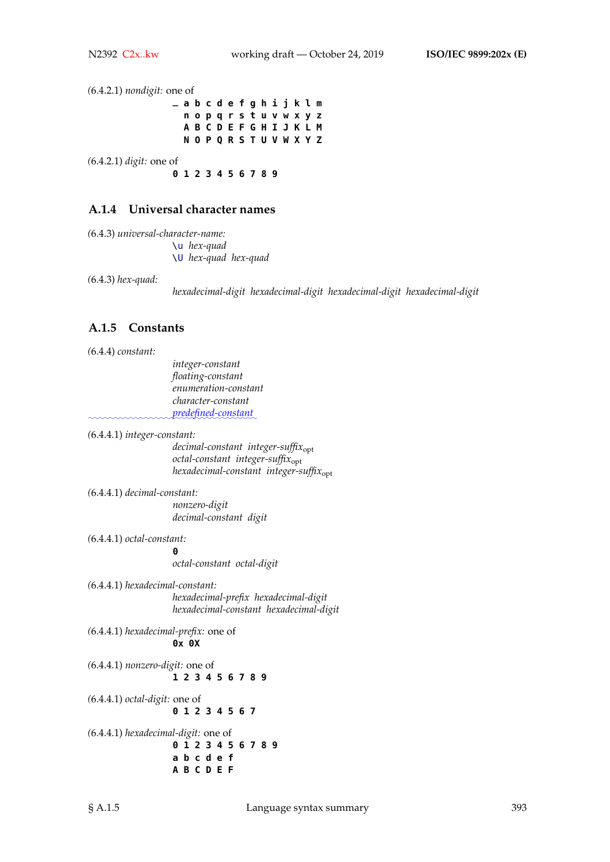*(*6.4.2.1) *nondigit:* one of **\_ a b c d e f g h i j k l m n o p q r s t u v w x y z A B C D E F G H I J K L M N O P Q R S T U V W X Y Z** *(*6.4.2.1) *digit:* one of **0 1 2 3 4 5 6 7 8 9**

## **A.1.4 Universal character names**

*(*6.4.3) *universal-character-name:* \u *hex-quad* \U *hex-quad hex-quad*

*(*6.4.3) *hex-quad:*

*hexadecimal-digit hexadecimal-digit hexadecimal-digit hexadecimal-digit*

## **A.1.5 Constants**

*(*6.4.4) *constant:*

*integer-constant floating-constant enumeration-constant character-constant* ✿✿✿✿✿✿✿✿✿✿✿✿✿✿✿✿✿✿✿✿✿✿✿✿✿✿✿✿✿✿✿✿ *predefined-constant*✿

*(*6.4.4.1) *integer-constant:*

*decimal-constant integer-suffix*<sub>opt</sub> *octal-constant integer-suffix*opt *hexadecimal-constant integer-suffix*opt

*(*6.4.4.1) *decimal-constant: nonzero-digit decimal-constant digit*

*(*6.4.4.1) *octal-constant:*

**0** *octal-constant octal-digit*

*(*6.4.4.1) *hexadecimal-constant: hexadecimal-prefix hexadecimal-digit hexadecimal-constant hexadecimal-digit*

*(*6.4.4.1) *hexadecimal-prefix:* one of **0x 0X**

*(*6.4.4.1) *nonzero-digit:* one of **1 2 3 4 5 6 7 8 9**

*(*6.4.4.1) *octal-digit:* one of **0 1 2 3 4 5 6 7**

*(*6.4.4.1) *hexadecimal-digit:* one of **0 1 2 3 4 5 6 7 8 9 a b c d e f A B C D E F**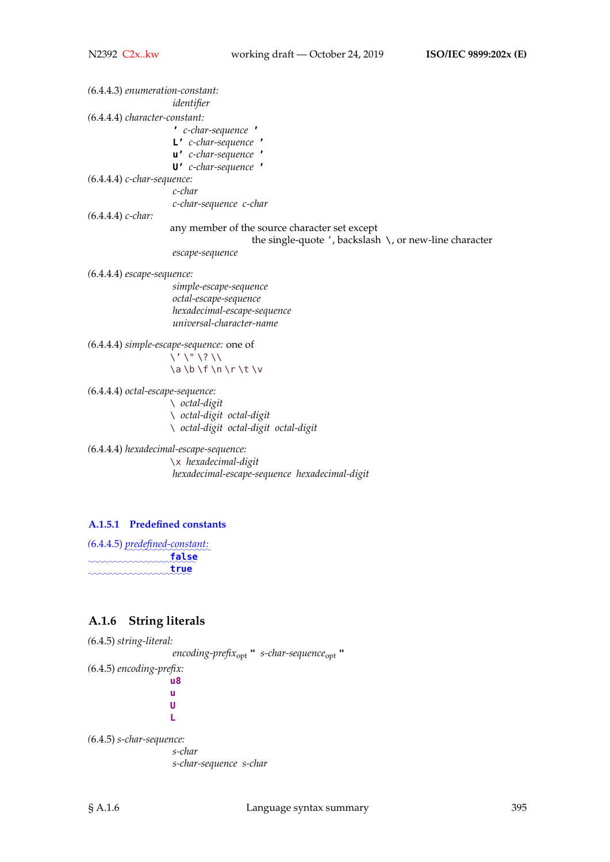*(*6.4.4.3) *enumeration-constant: identifier (*6.4.4.4) *character-constant:* **'** *c-char-sequence* **' L'** *c-char-sequence* **' u'** *c-char-sequence* **' U'** *c-char-sequence* **'** *(*6.4.4.4) *c-char-sequence: c-char c-char-sequence c-char (*6.4.4.4) *c-char:* any member of the source character set except the single-quote  $'$ , backslash  $\setminus$ , or new-line character *escape-sequence (*6.4.4.4) *escape-sequence: simple-escape-sequence octal-escape-sequence hexadecimal-escape-sequence universal-character-name (*6.4.4.4) *simple-escape-sequence:* one of  $\setminus' \setminus " \setminus ? \setminus \setminus$  $\a \b \f \n\right)$ *(*6.4.4.4) *octal-escape-sequence:* \ *octal-digit* \ *octal-digit octal-digit*

\ *octal-digit octal-digit octal-digit*

*(*6.4.4.4) *hexadecimal-escape-sequence:* \x *hexadecimal-digit hexadecimal-escape-sequence hexadecimal-digit*

## **A.1.5.1 Predefined constants**

*(*6.4.4.5) ✿✿✿✿✿✿✿✿✿✿✿✿✿✿✿✿✿ *predefined-constant:* ✿✿✿✿✿✿✿✿✿✿✿✿✿✿✿✿✿✿✿✿✿ **false** ✿✿✿✿✿✿✿✿✿✿✿✿✿✿✿✿✿✿✿✿ **true**

# **A.1.6 String literals**

*(*6.4.5) *string-literal: encoding-prefix*opt **"** *s-char-sequence*opt **"** *(*6.4.5) *encoding-prefix:* **u8 u U L** *(*6.4.5) *s-char-sequence: s-char*

*s-char-sequence s-char*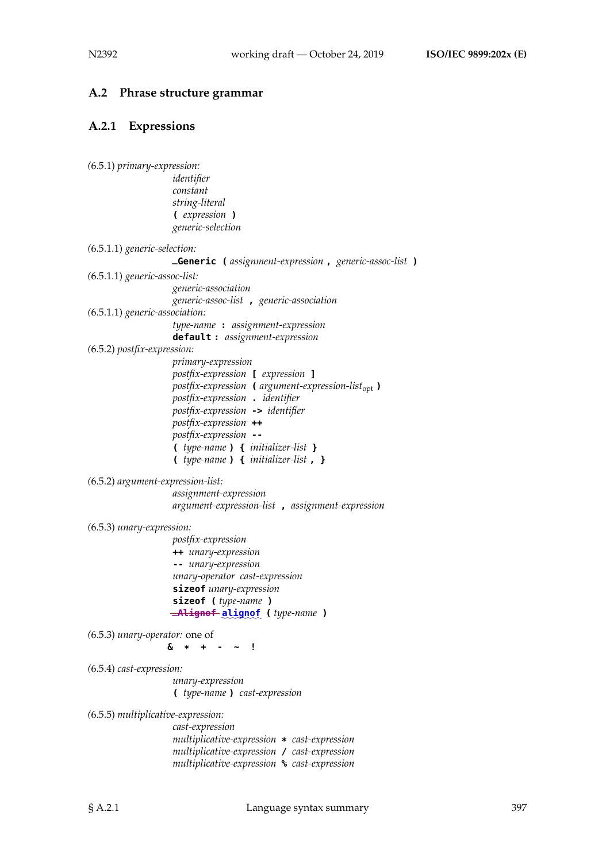#### **A.2 Phrase structure grammar**

#### **A.2.1 Expressions**

```
(6.5.1) primary-expression:
                   identifier
                   constant
                   string-literal
                    ( expression )
                   generic-selection
(6.5.1.1) generic-selection:
                   _Generic ( assignment-expression , generic-assoc-list )
(6.5.1.1) generic-assoc-list:
                   generic-association
                   generic-assoc-list , generic-association
(6.5.1.1) generic-association:
                    type-name : assignment-expression
                    default : assignment-expression
(6.5.2) postfix-expression:
                   primary-expression
                   postfix-expression [ expression ]
                   postfix-expression ( argument-expression-listopt )
                    postfix-expression . identifier
                   postfix-expression -> identifier
                   postfix-expression ++
                   postfix-expression --
                    ( type-name ) { initializer-list }
                    ( type-name ) { initializer-list , }
(6.5.2) argument-expression-list:
                    assignment-expression
                   argument-expression-list , assignment-expression
(6.5.3) unary-expression:
                   postfix-expression
                   ++ unary-expression
                    -- unary-expression
                   unary-operator cast-expression
                    sizeof unary-expression
                    sizeof ( type-name )
                    \frac{1}{2}Alignof ( type-name )
(6.5.3) unary-operator: one of
                  & * + - ~ !
(6.5.4) cast-expression:
                    unary-expression
                    ( type-name ) cast-expression
(6.5.5) multiplicative-expression:
                    cast-expression
                    multiplicative-expression * cast-expression
                   multiplicative-expression / cast-expression
                    multiplicative-expression % cast-expression
```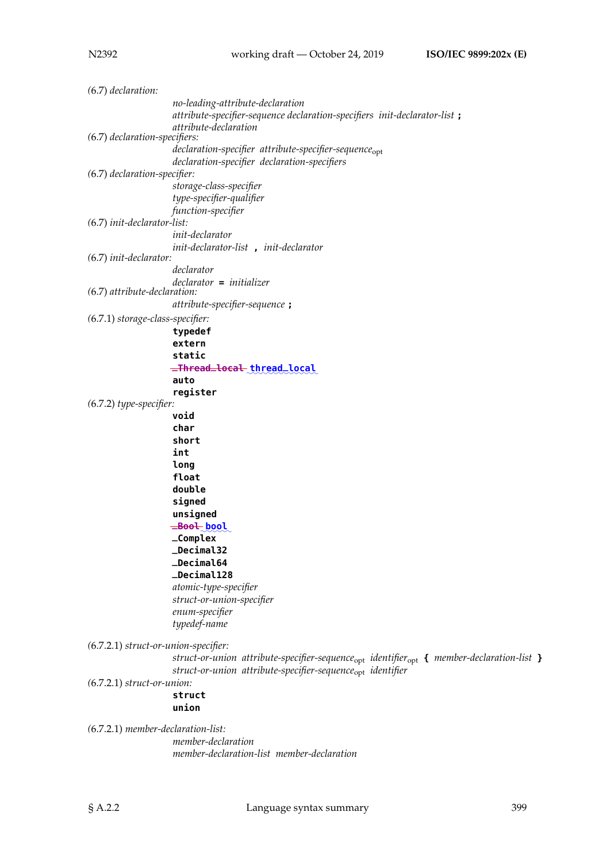*(*6.7) *declaration: no-leading-attribute-declaration attribute-specifier-sequence declaration-specifiers init-declarator-list* **;** *attribute-declaration (*6.7) *declaration-specifiers: declaration-specifier attribute-specifier-sequence*opt *declaration-specifier declaration-specifiers (*6.7) *declaration-specifier: storage-class-specifier type-specifier-qualifier function-specifier (*6.7) *init-declarator-list: init-declarator init-declarator-list* **,** *init-declarator (*6.7) *init-declarator: declarator declarator* **=** *initializer (*6.7) *attribute-declaration: attribute-specifier-sequence* **;** *(*6.7.1) *storage-class-specifier:* **typedef extern static**  $\pm$ Thread $\pm$ local $\pm$ thread $\pm$ local **auto register** *(*6.7.2) *type-specifier:* **void char short int long float double signed unsigned**  $=$ Boo<del>l</del> bool **\_Complex \_Decimal32 \_Decimal64 \_Decimal128** *atomic-type-specifier struct-or-union-specifier enum-specifier typedef-name (*6.7.2.1) *struct-or-union-specifier: struct-or-union attribute-specifier-sequence*opt *identifier*opt **{** *member-declaration-list* **}** *struct-or-union attribute-specifier-sequence*opt *identifier (*6.7.2.1) *struct-or-union:* **struct union** *(*6.7.2.1) *member-declaration-list: member-declaration*

*member-declaration-list member-declaration*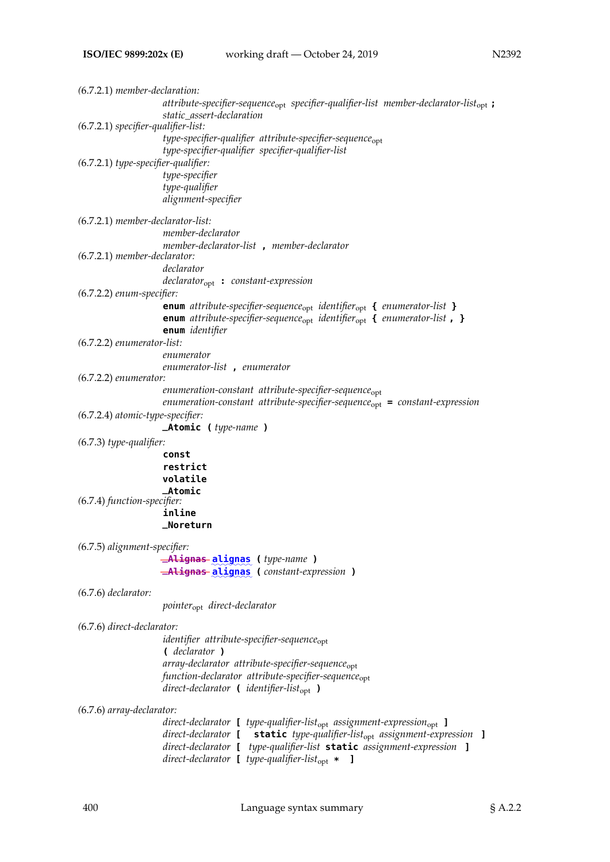| $(6.7.2.1)$ member-declaration:       | attribute-specifier-sequence <sub>opt</sub> specifier-qualifier-list member-declarator-list <sub>opt</sub> :<br>static assert-declaration                                                                                                                                                                                                          |
|---------------------------------------|----------------------------------------------------------------------------------------------------------------------------------------------------------------------------------------------------------------------------------------------------------------------------------------------------------------------------------------------------|
| $(6.7.2.1)$ specifier-qualifier-list: |                                                                                                                                                                                                                                                                                                                                                    |
|                                       | type-specifier-qualifier attribute-specifier-sequence <sub>opt</sub><br>type-specifier-qualifier specifier-qualifier-list                                                                                                                                                                                                                          |
| $(6.7.2.1)$ type-specifier-qualifier: | type-specifier<br>type-qualifier<br>alignment-specifier                                                                                                                                                                                                                                                                                            |
| $(6.7.2.1)$ member-declarator-list:   |                                                                                                                                                                                                                                                                                                                                                    |
|                                       | member-declarator                                                                                                                                                                                                                                                                                                                                  |
| $(6.7.2.1)$ member-declarator:        | member-declarator-list, member-declarator                                                                                                                                                                                                                                                                                                          |
|                                       | declarator                                                                                                                                                                                                                                                                                                                                         |
|                                       | $\textit{declarator}_{\text{opt}}$ : constant-expression                                                                                                                                                                                                                                                                                           |
| (6.7.2.2) enum-specifier:             |                                                                                                                                                                                                                                                                                                                                                    |
|                                       | <b>enum</b> attribute-specifier-sequence <sub>opt</sub> identifier <sub>opt</sub> { enumerator-list }<br><b>enum</b> attribute-specifier-sequence <sub>opt</sub> identifier <sub>opt</sub> { enumerator-list, }<br>enum identifier                                                                                                                 |
| $(6.7.2.2)$ enumerator-list:          |                                                                                                                                                                                                                                                                                                                                                    |
|                                       | enumerator                                                                                                                                                                                                                                                                                                                                         |
| $(6.7.2.2)$ enumerator:               | enumerator-list, enumerator                                                                                                                                                                                                                                                                                                                        |
|                                       | $e$ numeration-constant attribute-specifier-sequence $_{\rm opt}$<br>$enumeration-constant$ attribute-specifier-sequence <sub>opt</sub> = constant-expression                                                                                                                                                                                      |
| (6.7.2.4) atomic-type-specifier:      |                                                                                                                                                                                                                                                                                                                                                    |
|                                       | <b>_Atomic</b> ( <i>type-name</i> )                                                                                                                                                                                                                                                                                                                |
| $(6.7.3)$ type-qualifier:             |                                                                                                                                                                                                                                                                                                                                                    |
|                                       | const<br>restrict                                                                                                                                                                                                                                                                                                                                  |
|                                       | volatile                                                                                                                                                                                                                                                                                                                                           |
|                                       | <b>_Atomic</b>                                                                                                                                                                                                                                                                                                                                     |
| (6.7.4) function-specifier:           | inline                                                                                                                                                                                                                                                                                                                                             |
|                                       | _Noreturn                                                                                                                                                                                                                                                                                                                                          |
| (6.7.5) alignment-specifier:          |                                                                                                                                                                                                                                                                                                                                                    |
|                                       | <b>-Alignas alignas</b> (type-name)                                                                                                                                                                                                                                                                                                                |
|                                       | <b>-Alignas alignas</b> (constant-expression)                                                                                                                                                                                                                                                                                                      |
| $(6.7.6)$ declarator:                 |                                                                                                                                                                                                                                                                                                                                                    |
|                                       | pointer <sub>opt</sub> direct-declarator                                                                                                                                                                                                                                                                                                           |
| (6.7.6) direct-declarator:            |                                                                                                                                                                                                                                                                                                                                                    |
|                                       | identifier attribute-specifier-sequence <sub>opt</sub><br>( declarator )                                                                                                                                                                                                                                                                           |
|                                       | array-declarator attribute-specifier-sequence <sub>opt</sub><br>function-declarator attribute-specifier-sequence <sub>opt</sub><br>direct-declarator $\blacksquare$ identifier-list <sub>opt</sub> $\rightharpoonup$                                                                                                                               |
|                                       |                                                                                                                                                                                                                                                                                                                                                    |
| (6.7.6) array-declarator:             |                                                                                                                                                                                                                                                                                                                                                    |
|                                       | $direct\text{-}declarator$ [ type-qualifier-list <sub>opt</sub> assignment-expression <sub>opt</sub> ]<br>direct-declarator [ static type-qualifier-list <sub>opt</sub> assignment-expression ]<br>direct-declarator [ type-qualifier-list static assignment-expression ]<br>direct-declarator $\blacksquare$ type-qualifier-list <sub>opt</sub> * |
|                                       |                                                                                                                                                                                                                                                                                                                                                    |